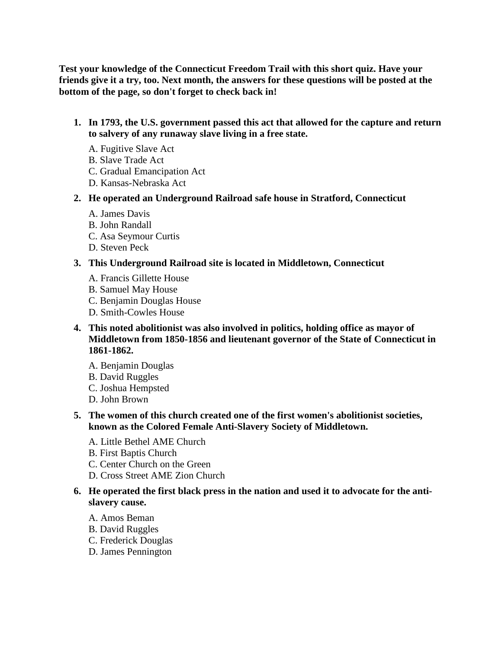**Test your knowledge of the Connecticut Freedom Trail with this short quiz. Have your friends give it a try, too. Next month, the answers for these questions will be posted at the bottom of the page, so don't forget to check back in!** 

- **1. In 1793, the U.S. government passed this act that allowed for the capture and return to salvery of any runaway slave living in a free state.** 
	- A. Fugitive Slave Act
	- B. Slave Trade Act
	- C. Gradual Emancipation Act
	- D. Kansas-Nebraska Act
- **2. He operated an Underground Railroad safe house in Stratford, Connecticut** 
	- A. James Davis
	- B. John Randall
	- C. Asa Seymour Curtis
	- D. Steven Peck

# **3. This Underground Railroad site is located in Middletown, Connecticut**

- A. Francis Gillette House
- B. Samuel May House
- C. Benjamin Douglas House
- D. Smith-Cowles House
- **4. This noted abolitionist was also involved in politics, holding office as mayor of Middletown from 1850-1856 and lieutenant governor of the State of Connecticut in 1861-1862.** 
	- A. Benjamin Douglas
	- B. David Ruggles
	- C. Joshua Hempsted
	- D. John Brown
- **5. The women of this church created one of the first women's abolitionist societies, known as the Colored Female Anti-Slavery Society of Middletown.** 
	- A. Little Bethel AME Church
	- B. First Baptis Church
	- C. Center Church on the Green
	- D. Cross Street AME Zion Church

# **6. He operated the first black press in the nation and used it to advocate for the antislavery cause.**

- A. Amos Beman
- B. David Ruggles
- C. Frederick Douglas
- D. James Pennington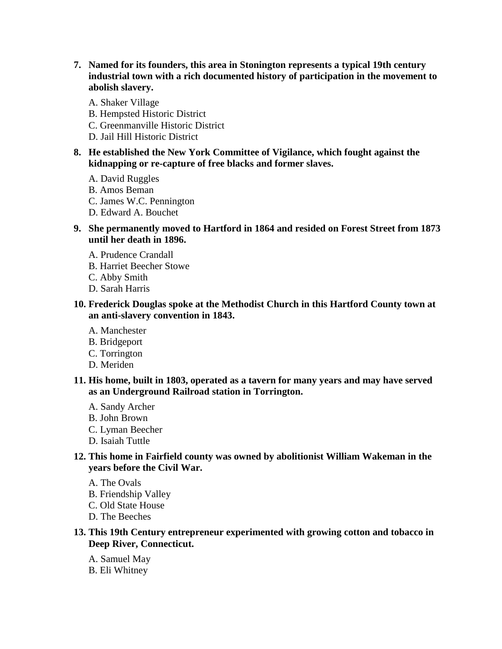- **7. Named for its founders, this area in Stonington represents a typical 19th century industrial town with a rich documented history of participation in the movement to abolish slavery.** 
	- A. Shaker Village
	- B. Hempsted Historic District
	- C. Greenmanville Historic District
	- D. Jail Hill Historic District
- **8. He established the New York Committee of Vigilance, which fought against the kidnapping or re-capture of free blacks and former slaves.** 
	- A. David Ruggles
	- B. Amos Beman
	- C. James W.C. Pennington
	- D. Edward A. Bouchet
- **9. She permanently moved to Hartford in 1864 and resided on Forest Street from 1873 until her death in 1896.** 
	- A. Prudence Crandall
	- B. Harriet Beecher Stowe
	- C. Abby Smith
	- D. Sarah Harris
- **10. Frederick Douglas spoke at the Methodist Church in this Hartford County town at an anti-slavery convention in 1843.** 
	- A. Manchester
	- B. Bridgeport
	- C. Torrington
	- D. Meriden
- **11. His home, built in 1803, operated as a tavern for many years and may have served as an Underground Railroad station in Torrington.** 
	- A. Sandy Archer
	- B. John Brown
	- C. Lyman Beecher
	- D. Isaiah Tuttle
- **12. This home in Fairfield county was owned by abolitionist William Wakeman in the years before the Civil War.** 
	- A. The Ovals
	- B. Friendship Valley
	- C. Old State House
	- D. The Beeches
- **13. This 19th Century entrepreneur experimented with growing cotton and tobacco in Deep River, Connecticut.** 
	- A. Samuel May
	- B. Eli Whitney